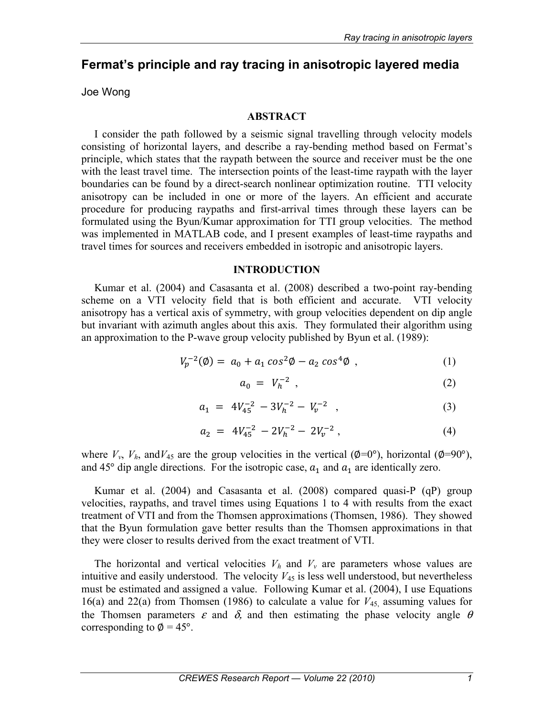# **Fermat's principle and ray tracing in anisotropic layered media**

Joe Wong

### **ABSTRACT**

I consider the path followed by a seismic signal travelling through velocity models consisting of horizontal layers, and describe a ray-bending method based on Fermat's principle, which states that the raypath between the source and receiver must be the one with the least travel time. The intersection points of the least-time raypath with the layer boundaries can be found by a direct-search nonlinear optimization routine. TTI velocity anisotropy can be included in one or more of the layers. An efficient and accurate procedure for producing raypaths and first-arrival times through these layers can be formulated using the Byun/Kumar approximation for TTI group velocities. The method was implemented in MATLAB code, and I present examples of least-time raypaths and travel times for sources and receivers embedded in isotropic and anisotropic layers.

### **INTRODUCTION**

Kumar et al. (2004) and Casasanta et al. (2008) described a two-point ray-bending scheme on a VTI velocity field that is both efficient and accurate. VTI velocity anisotropy has a vertical axis of symmetry, with group velocities dependent on dip angle but invariant with azimuth angles about this axis. They formulated their algorithm using an approximation to the P-wave group velocity published by Byun et al. (1989):

$$
V_p^{-2}(\emptyset) = a_0 + a_1 \cos^2 \emptyset - a_2 \cos^4 \emptyset , \qquad (1)
$$

$$
a_0 = V_h^{-2} \tag{2}
$$

$$
a_1 = 4V_{45}^{-2} - 3V_h^{-2} - V_v^{-2} \t\t(3)
$$

$$
a_2 = 4V_{45}^{-2} - 2V_h^{-2} - 2V_v^{-2} , \qquad (4)
$$

where  $V_v$ ,  $V_h$ , and  $V_{45}$  are the group velocities in the vertical ( $\phi$ =0°), horizontal ( $\phi$ =90°), and 45° dip angle directions. For the isotropic case,  $a_1$  and  $a_1$  are identically zero.

Kumar et al. (2004) and Casasanta et al. (2008) compared quasi-P (qP) group velocities, raypaths, and travel times using Equations 1 to 4 with results from the exact treatment of VTI and from the Thomsen approximations (Thomsen, 1986). They showed that the Byun formulation gave better results than the Thomsen approximations in that they were closer to results derived from the exact treatment of VTI.

The horizontal and vertical velocities  $V_h$  and  $V_v$  are parameters whose values are intuitive and easily understood. The velocity  $V_{45}$  is less well understood, but nevertheless must be estimated and assigned a value. Following Kumar et al. (2004), I use Equations 16(a) and 22(a) from Thomsen (1986) to calculate a value for *V*45, assuming values for the Thomsen parameters  $\varepsilon$  and  $\delta$ , and then estimating the phase velocity angle  $\theta$ corresponding to  $\phi = 45^{\circ}$ .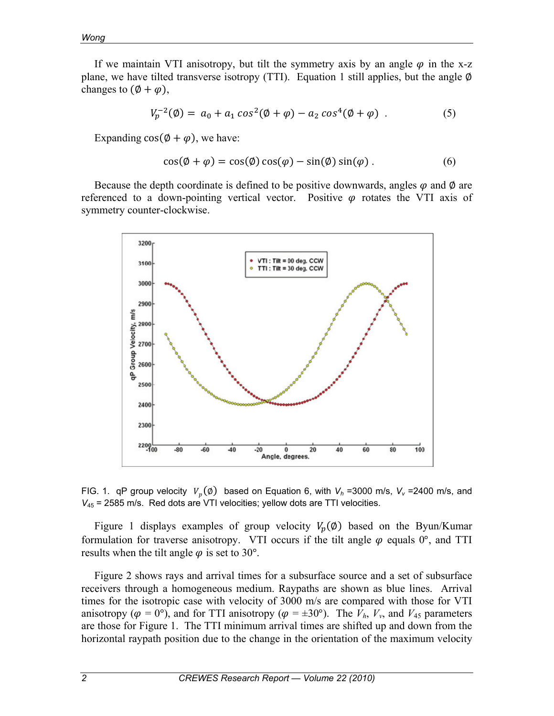If we maintain VTI anisotropy, but tilt the symmetry axis by an angle  $\varphi$  in the x-z plane, we have tilted transverse isotropy (TTI). Equation 1 still applies, but the angle  $\emptyset$ changes to  $(\emptyset + \varphi)$ ,

$$
V_p^{-2}(\emptyset) = a_0 + a_1 \cos^2(\emptyset + \varphi) - a_2 \cos^4(\emptyset + \varphi) \tag{5}
$$

Expanding  $cos(\phi + \varphi)$ , we have:

$$
\cos(\phi + \varphi) = \cos(\phi)\cos(\varphi) - \sin(\phi)\sin(\varphi) \tag{6}
$$

Because the depth coordinate is defined to be positive downwards, angles  $\varphi$  and  $\varnothing$  are referenced to a down-pointing vertical vector. Positive  $\varphi$  rotates the VTI axis of symmetry counter-clockwise.



FIG. 1. qP group velocity  $V_n(\emptyset)$  based on Equation 6, with  $V_h$  =3000 m/s,  $V_v$  =2400 m/s, and *V*<sub>45</sub> = 2585 m/s. Red dots are VTI velocities; yellow dots are TTI velocities.

Figure 1 displays examples of group velocity  $V_p(\emptyset)$  based on the Byun/Kumar formulation for traverse anisotropy. VTI occurs if the tilt angle  $\varphi$  equals  $0^{\circ}$ , and TTI results when the tilt angle  $\varphi$  is set to 30°.

Figure 2 shows rays and arrival times for a subsurface source and a set of subsurface receivers through a homogeneous medium. Raypaths are shown as blue lines. Arrival times for the isotropic case with velocity of 3000 m/s are compared with those for VTI anisotropy ( $\varphi = 0^{\circ}$ ), and for TTI anisotropy ( $\varphi = \pm 30^{\circ}$ ). The  $V_h$ ,  $V_v$ , and  $V_{45}$  parameters are those for Figure 1. The TTI minimum arrival times are shifted up and down from the horizontal raypath position due to the change in the orientation of the maximum velocity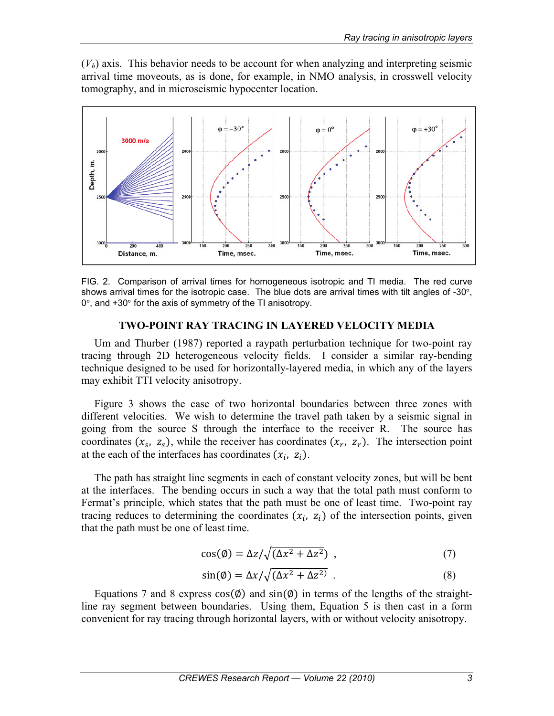$(V_h)$  axis. This behavior needs to be account for when analyzing and interpreting seismic arrival time moveouts, as is done, for example, in NMO analysis, in crosswell velocity tomography, and in microseismic hypocenter location.



FIG. 2. Comparison of arrival times for homogeneous isotropic and TI media. The red curve shows arrival times for the isotropic case. The blue dots are arrival times with tilt angles of -30°,  $0^\circ$ , and  $+30^\circ$  for the axis of symmetry of the TI anisotropy.

## **TWO-POINT RAY TRACING IN LAYERED VELOCITY MEDIA**

Um and Thurber (1987) reported a raypath perturbation technique for two-point ray tracing through 2D heterogeneous velocity fields. I consider a similar ray-bending technique designed to be used for horizontally-layered media, in which any of the layers may exhibit TTI velocity anisotropy.

Figure 3 shows the case of two horizontal boundaries between three zones with different velocities. We wish to determine the travel path taken by a seismic signal in going from the source S through the interface to the receiver R. The source has coordinates  $(x_s, z_s)$ , while the receiver has coordinates  $(x_r, z_r)$ . The intersection point at the each of the interfaces has coordinates  $(x_i, z_i)$ .

The path has straight line segments in each of constant velocity zones, but will be bent at the interfaces. The bending occurs in such a way that the total path must conform to Fermat's principle, which states that the path must be one of least time. Two-point ray tracing reduces to determining the coordinates  $(x_i, z_i)$  of the intersection points, given that the path must be one of least time.

$$
\cos(\phi) = \frac{\Delta z}{\sqrt{(\Delta x^2 + \Delta z^2)}} \tag{7}
$$

$$
\sin(\emptyset) = \Delta x / \sqrt{(\Delta x^2 + \Delta z^2)} \tag{8}
$$

Equations 7 and 8 express  $cos(\phi)$  and  $sin(\phi)$  in terms of the lengths of the straightline ray segment between boundaries. Using them, Equation 5 is then cast in a form convenient for ray tracing through horizontal layers, with or without velocity anisotropy.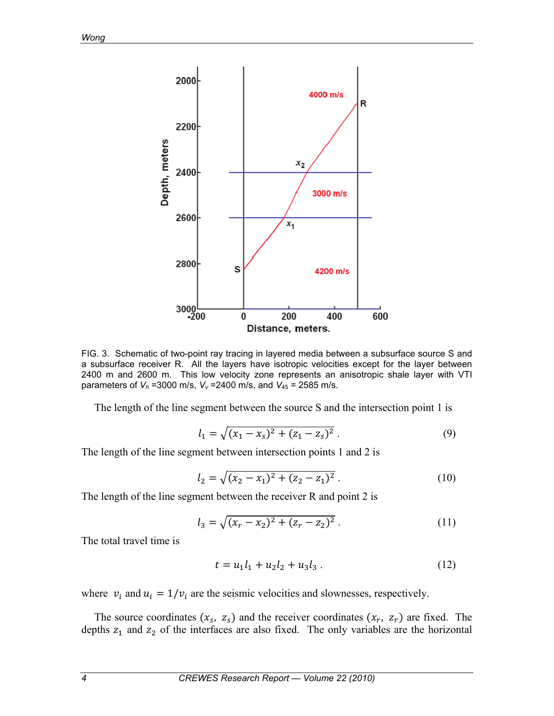

FIG. 3. Schematic of two-point ray tracing in layered media between a subsurface source S and a subsurface receiver R. All the layers have isotropic velocities except for the layer between 2400 m and 2600 m. This low velocity zone represents an anisotropic shale layer with VTI parameters of  $V_h$  =3000 m/s,  $V_v$  =2400 m/s, and  $V_{45}$  = 2585 m/s.

The length of the line segment between the source S and the intersection point 1 is

$$
l_1 = \sqrt{(x_1 - x_s)^2 + (z_1 - z_s)^2} \ . \tag{9}
$$

The length of the line segment between intersection points 1 and 2 is

$$
l_2 = \sqrt{(x_2 - x_1)^2 + (z_2 - z_1)^2} \ . \tag{10}
$$

The length of the line segment between the receiver R and point 2 is

$$
l_3 = \sqrt{(x_r - x_2)^2 + (z_r - z_2)^2} \,. \tag{11}
$$

The total travel time is

$$
t = u_1 l_1 + u_2 l_2 + u_3 l_3 \tag{12}
$$

where  $v_i$  and  $u_i = 1/v_i$  are the seismic velocities and slownesses, respectively.

The source coordinates  $(x_s, z_s)$  and the receiver coordinates  $(x_r, z_r)$  are fixed. The depths  $z_1$  and  $z_2$  of the interfaces are also fixed. The only variables are the horizontal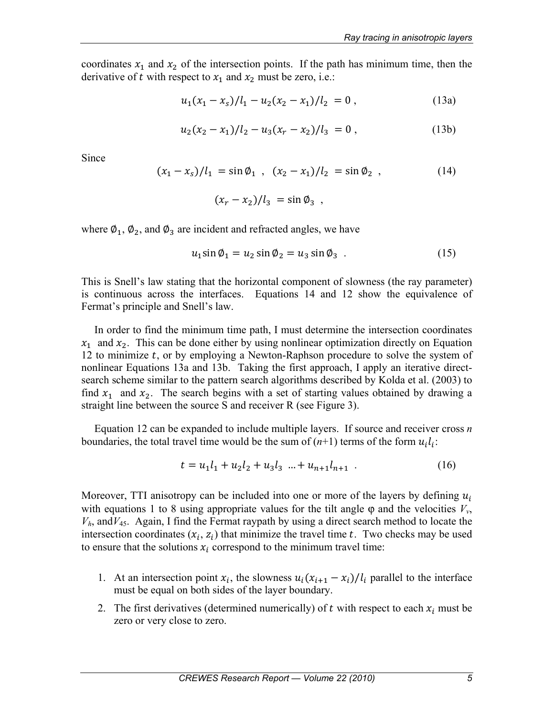coordinates  $x_1$  and  $x_2$  of the intersection points. If the path has minimum time, then the derivative of t with respect to  $x_1$  and  $x_2$  must be zero, i.e.:

$$
u_1(x_1 - x_s)/l_1 - u_2(x_2 - x_1)/l_2 = 0,
$$
\n(13a)

$$
u_2(x_2 - x_1)/l_2 - u_3(x_r - x_2)/l_3 = 0,
$$
 (13b)

Since

$$
(x_1 - x_s) / l_1 = \sin \phi_1 , \quad (x_2 - x_1) / l_2 = \sin \phi_2 , \tag{14}
$$

$$
(x_r-x_2)/l_3 = \sin \phi_3 ,
$$

where  $\varphi_1$ ,  $\varphi_2$ , and  $\varphi_3$  are incident and refracted angles, we have

$$
u_1 \sin \theta_1 = u_2 \sin \theta_2 = u_3 \sin \theta_3 \tag{15}
$$

This is Snell's law stating that the horizontal component of slowness (the ray parameter) is continuous across the interfaces. Equations 14 and 12 show the equivalence of Fermat's principle and Snell's law.

In order to find the minimum time path, I must determine the intersection coordinates  $x_1$  and  $x_2$ . This can be done either by using nonlinear optimization directly on Equation 12 to minimize  $t$ , or by employing a Newton-Raphson procedure to solve the system of nonlinear Equations 13a and 13b. Taking the first approach, I apply an iterative directsearch scheme similar to the pattern search algorithms described by Kolda et al. (2003) to find  $x_1$  and  $x_2$ . The search begins with a set of starting values obtained by drawing a straight line between the source S and receiver R (see Figure 3).

Equation 12 can be expanded to include multiple layers. If source and receiver cross *n*  boundaries, the total travel time would be the sum of  $(n+1)$  terms of the form  $u_i l_i$ :

$$
t = u_1 l_1 + u_2 l_2 + u_3 l_3 \dots + u_{n+1} l_{n+1} \tag{16}
$$

Moreover, TTI anisotropy can be included into one or more of the layers by defining  $u_i$ with equations 1 to 8 using appropriate values for the tilt angle  $\varphi$  and the velocities  $V_{\nu}$ , *Vh*, and*V*45. Again, I find the Fermat raypath by using a direct search method to locate the intersection coordinates  $(x_i, z_i)$  that minimize the travel time t. Two checks may be used to ensure that the solutions  $x_i$  correspond to the minimum travel time:

- 1. At an intersection point  $x_i$ , the slowness  $u_i(x_{i+1} x_i)/l_i$  parallel to the interface must be equal on both sides of the layer boundary.
- 2. The first derivatives (determined numerically) of t with respect to each  $x_i$  must be zero or very close to zero.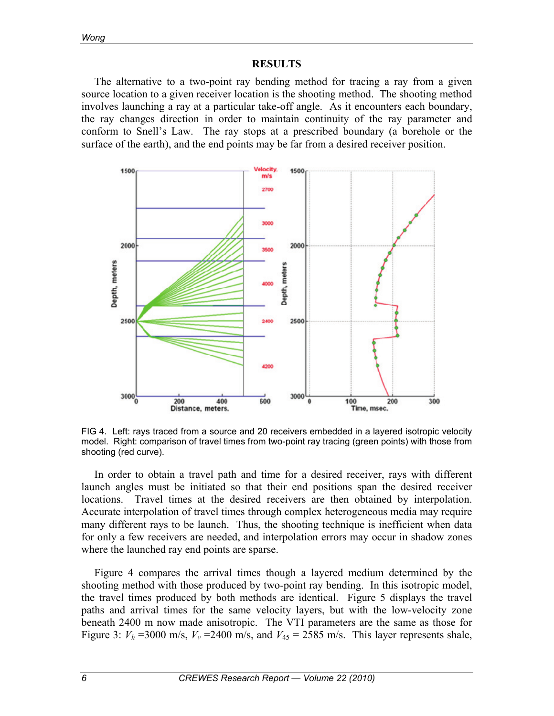### **RESULTS**

The alternative to a two-point ray bending method for tracing a ray from a given source location to a given receiver location is the shooting method. The shooting method involves launching a ray at a particular take-off angle. As it encounters each boundary, the ray changes direction in order to maintain continuity of the ray parameter and conform to Snell's Law. The ray stops at a prescribed boundary (a borehole or the surface of the earth), and the end points may be far from a desired receiver position.



FIG 4. Left: rays traced from a source and 20 receivers embedded in a layered isotropic velocity model. Right: comparison of travel times from two-point ray tracing (green points) with those from shooting (red curve).

In order to obtain a travel path and time for a desired receiver, rays with different launch angles must be initiated so that their end positions span the desired receiver locations. Travel times at the desired receivers are then obtained by interpolation. Accurate interpolation of travel times through complex heterogeneous media may require many different rays to be launch. Thus, the shooting technique is inefficient when data for only a few receivers are needed, and interpolation errors may occur in shadow zones where the launched ray end points are sparse.

Figure 4 compares the arrival times though a layered medium determined by the shooting method with those produced by two-point ray bending. In this isotropic model, the travel times produced by both methods are identical. Figure 5 displays the travel paths and arrival times for the same velocity layers, but with the low-velocity zone beneath 2400 m now made anisotropic. The VTI parameters are the same as those for Figure 3:  $V_h$  =3000 m/s,  $V_v$  =2400 m/s, and  $V_{45}$  = 2585 m/s. This layer represents shale,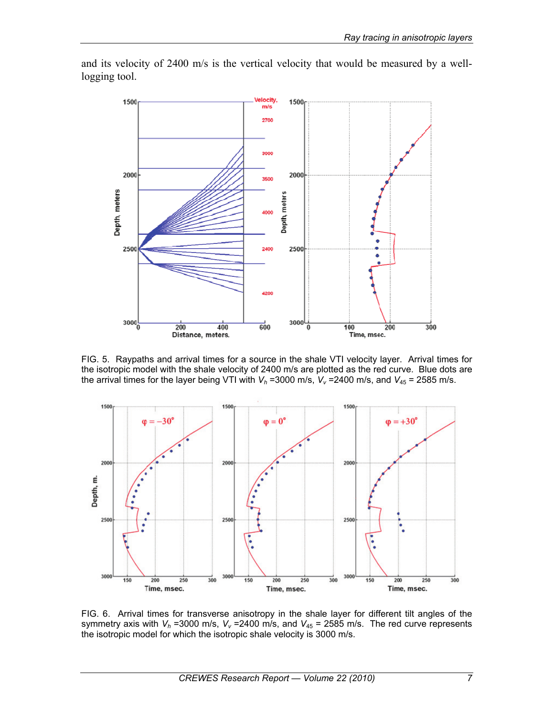

and its velocity of 2400 m/s is the vertical velocity that would be measured by a welllogging tool.

FIG. 5. Raypaths and arrival times for a source in the shale VTI velocity layer. Arrival times for the isotropic model with the shale velocity of 2400 m/s are plotted as the red curve. Blue dots are the arrival times for the layer being VTI with  $V_h$  =3000 m/s,  $V_v$  =2400 m/s, and  $V_{45}$  = 2585 m/s.



FIG. 6. Arrival times for transverse anisotropy in the shale layer for different tilt angles of the symmetry axis with  $V_h$  =3000 m/s,  $V_v$  =2400 m/s, and  $V_{45}$  = 2585 m/s. The red curve represents the isotropic model for which the isotropic shale velocity is 3000 m/s.